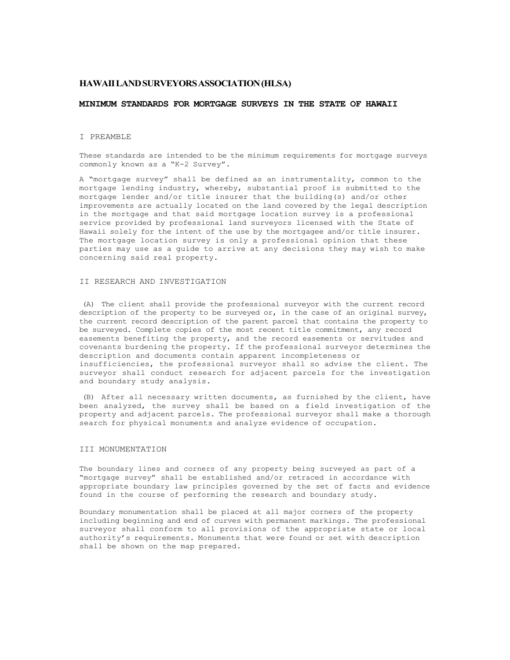# **HAWAII LAND SURVEYORS ASSOCIATION (HLSA)**

### **MINIMUM STANDARDS FOR MORTGAGE SURVEYS IN THE STATE OF HAWAII**

## I PREAMBLE

These standards are intended to be the minimum requirements for mortgage surveys commonly known as a "K-2 Survey".

A "mortgage survey" shall be defined as an instrumentality, common to the mortgage lending industry, whereby, substantial proof is submitted to the mortgage lender and/or title insurer that the building(s) and/or other improvements are actually located on the land covered by the legal description in the mortgage and that said mortgage location survey is a professional service provided by professional land surveyors licensed with the State of Hawaii solely for the intent of the use by the mortgagee and/or title insurer. The mortgage location survey is only a professional opinion that these parties may use as a guide to arrive at any decisions they may wish to make concerning said real property.

#### II RESEARCH AND INVESTIGATION

(A) The client shall provide the professional surveyor with the current record description of the property to be surveyed or, in the case of an original survey, the current record description of the parent parcel that contains the property to be surveyed. Complete copies of the most recent title commitment, any record easements benefiting the property, and the record easements or servitudes and covenants burdening the property. If the professional surveyor determines the description and documents contain apparent incompleteness or insufficiencies, the professional surveyor shall so advise the client. The surveyor shall conduct research for adjacent parcels for the investigation and boundary study analysis.

(B) After all necessary written documents, as furnished by the client, have been analyzed, the survey shall be based on a field investigation of the property and adjacent parcels. The professional surveyor shall make a thorough search for physical monuments and analyze evidence of occupation.

## III MONUMENTATION

The boundary lines and corners of any property being surveyed as part of a "mortgage survey" shall be established and/or retraced in accordance with appropriate boundary law principles governed by the set of facts and evidence found in the course of performing the research and boundary study.

Boundary monumentation shall be placed at all major corners of the property including beginning and end of curves with permanent markings. The professional surveyor shall conform to all provisions of the appropriate state or local authority's requirements. Monuments that were found or set with description shall be shown on the map prepared.